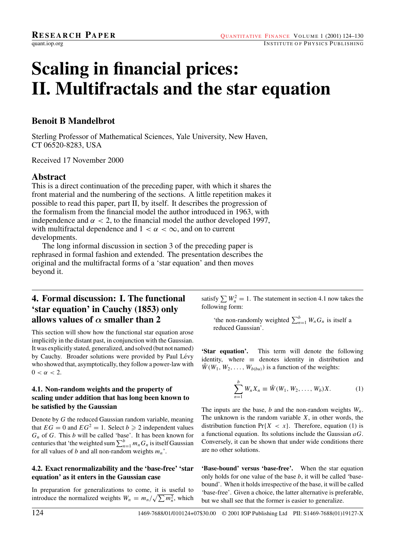# **Scaling in financial prices: II. Multifractals and the star equation**

# **Benoit B Mandelbrot**

Sterling Professor of Mathematical Sciences, Yale University, New Haven, CT 06520-8283, USA

Received 17 November 2000

## **Abstract**

This is a direct continuation of the preceding paper, with which it shares the front material and the numbering of the sections. A little repetition makes it possible to read this paper, part II, by itself. It describes the progression of the formalism from the financial model the author introduced in 1963, with independence and  $\alpha < 2$ , to the financial model the author developed 1997, with multifractal dependence and  $1 < \alpha < \infty$ , and on to current developments.

The long informal discussion in section 3 of the preceding paper is rephrased in formal fashion and extended. The presentation describes the original and the multifractal forms of a 'star equation' and then moves beyond it.

# **4. Formal discussion: I. The functional 'star equation' in Cauchy (1853) only allows values of** *α* **smaller than 2**

This section will show how the functional star equation arose implicitly in the distant past, in conjunction with the Gaussian. It was explicitly stated, generalized, and solved (but not named) by Cauchy. Broader solutions were provided by Paul Lévy who showed that, asymptotically, they follow a power-law with  $0 < \alpha < 2$ .

### **4.1. Non-random weights and the property of scaling under addition that has long been known to be satisfied by the Gaussian**

Denote by G the reduced Gaussian random variable, meaning that  $EG = 0$  and  $EG^2 = 1$ . Select  $b \ge 2$  independent values  $G_n$  of G. This b will be called 'base'. It has been known for centuries that 'the weighted sum  $\sum_{n=1}^{b} m_n G_n$  is itself Gaussian for all values of b and all non-random weights  $m_n$ .

## **4.2. Exact renormalizability and the 'base-free' 'star equation' as it enters in the Gaussian case**

In preparation for generalizations to come, it is useful to introduce the normalized weights  $W_n = m_n / \sqrt{\sum m_n^2}$ , which

satisfy  $\sum W_n^2 = 1$ . The statement in section 4.1 now takes the following form:

'the non-randomly weighted  $\sum_{n=1}^{b} W_nG_n$  is itself a reduced Gaussian'.

**'Star equation'.** This term will denote the following identity, where  $\equiv$  denotes identity in distribution and  $W(W_1, W_2, \ldots, W_{b(bu)})$  is a function of the weights:

$$
\sum_{n=1}^{b} W_n X_n \equiv \tilde{W}(W_1, W_2, \dots, W_b) X.
$$
 (1)

The inputs are the base, b and the non-random weights  $W_n$ . The unknown is the random variable  $X$ , in other words, the distribution function  $Pr{X < x}$ . Therefore, equation (1) is a functional equation. Its solutions include the Gaussian  $aG$ . Conversely, it can be shown that under wide conditions there are no other solutions.

**'Base-bound' versus 'base-free'.** When the star equation only holds for one value of the base  $b$ , it will be called 'basebound'. When it holds irrespective of the base, it will be called 'base-free'. Given a choice, the latter alternative is preferable, but we shall see that the former is easier to generalize.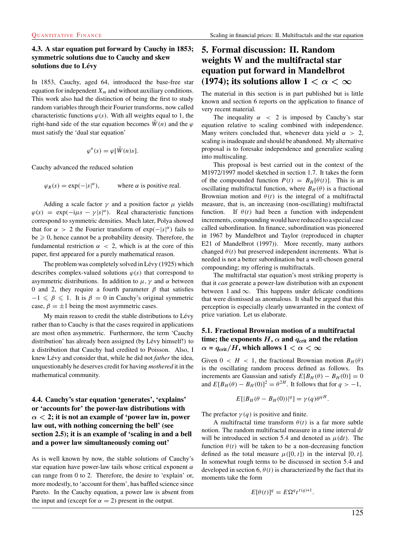#### **4.3. A star equation put forward by Cauchy in 1853; symmetric solutions due to Cauchy and skew solutions due to Levy ´**

In 1853, Cauchy, aged 64, introduced the base-free star equation for independent  $X_m$  and without auxiliary conditions. This work also had the distinction of being the first to study random variables through their Fourier transforms, now called characteristic functions  $\varphi(s)$ . With all weights equal to 1, the right-hand side of the star equation becomes  $\tilde{W}(n)$  and the  $\varphi$ must satisfy the 'dual star equation'

$$
\varphi^{n}(s) = \varphi[\tilde{W}(n)s].
$$

Cauchy advanced the reduced solution

 $\varphi_R(s) = \exp(-|s|^{\alpha}),$ where  $\alpha$  is positive real.

Adding a scale factor  $\gamma$  and a position factor  $\mu$  yields  $\varphi(s) = \exp(-i\mu s - \gamma |s|^{\alpha})$ . Real characteristic functions correspond to symmetric densities. Much later, Polya showed that for  $\alpha > 2$  the Fourier transform of  $\exp(-|s|^{\alpha})$  fails to  $be \geq 0$ , hence cannot be a probability density. Therefore, the fundamental restriction  $\alpha$  < 2, which is at the core of this paper, first appeared for a purely mathematical reason.

The problem was completely solved in Lévy  $(1925)$  which describes complex-valued solutions  $\varphi(s)$  that correspond to asymmetric distributions. In addition to  $\mu$ ,  $\gamma$  and  $\alpha$  between 0 and 2, they require a fourth parameter  $\beta$  that satisfies  $-1 \leq \beta \leq 1$ . It is  $\beta = 0$  in Cauchy's original symmetric case,  $\beta = \pm 1$  being the most asymmetric cases.

My main reason to credit the stable distributions to Lévy rather than to Cauchy is that the cases required in applications are most often asymmetric. Furthermore, the term 'Cauchy distribution' has already been assigned (by Lévy himself!) to a distribution that Cauchy had credited to Poisson. Also, I knew Lévy and consider that, while he did not *father* the idea, unquestionably he deserves credit for having *mothered* it in the mathematical community.

## **4.4. Cauchy's star equation 'generates', 'explains' or 'accounts for' the power-law distributions with**  $\alpha$  < 2; it is not an example of 'power law in, power **law out, with nothing concerning the bell' (see section 2.5); it is an example of 'scaling in and a bell and a power law simultaneously coming out'**

As is well known by now, the stable solutions of Cauchy's star equation have power-law tails whose critical exponent  $\alpha$ can range from 0 to 2. Therefore, the desire to 'explain' or, more modestly, to 'account for them', has baffled science since Pareto. In the Cauchy equation, a power law is absent from the input and (except for  $\alpha = 2$ ) present in the output.

# **5. Formal discussion: II. Random weights W and the multifractal star equation put forward in Mandelbrot (1974); its solutions allow**  $1 < \alpha < \infty$

The material in this section is in part published but is little known and section 6 reports on the application to finance of very recent material.

The inequality  $\alpha$  < 2 is imposed by Cauchy's star equation relative to scaling combined with independence. Many writers concluded that, whenever data yield  $\alpha > 2$ , scaling is inadequate and should be abandoned. My alternative proposal is to foresake independence and generalize scaling into multiscaling.

This proposal is best carried out in the context of the M1972/1997 model sketched in section 1.7. It takes the form of the compounded function  $P(t) = B_H[\theta(t)]$ . This is an oscillating multifractal function, where  $B_H(\theta)$  is a fractional Brownian motion and  $\theta(t)$  is the integral of a multifractal measure, that is, an increasing (non-oscillating) multifractal function. If  $\theta(t)$  had been a function with independent increments, compounding would have reduced to a special case called subordination. In finance, subordination was pioneered in 1967 by Mandelbrot and Taylor (reproduced in chapter E21 of Mandelbrot (1997)). More recently, many authors changed  $\theta(t)$  but preserved independent increments. What is needed is not a better subordination but a well-chosen general compounding; my offering is multifractals.

The multifractal star equation's most striking property is that it *can* generate a power-law distribution with an exponent between 1 and  $\infty$ . This happens under delicate conditions that were dismissed as anomalous. It shall be argued that this perception is especially clearly unwarranted in the context of price variation. Let us elaborate.

### **5.1. Fractional Brownian motion of a multifractal time;** the exponents  $H$ ,  $\alpha$  and  $q_{\text{crit}}$  and the relation  $\alpha$  =  $q_{\text{crit}}/H$ , which allows 1 <  $\alpha$  <  $\infty$

Given  $0 < H < 1$ , the fractional Brownian motion  $B_H(\theta)$ is the oscillating random process defined as follows. Its increments are Gaussian and satisfy  $E[B_H(\theta) - B_H(0)] = 0$ and  $E[B_H(\theta) - B_H(0)]^2 = \theta^{2H}$ . It follows that for  $q > -1$ ,

$$
E[|B_H(\theta - B_H(0))|^q] = \gamma(q)\theta^{qH}.
$$

The prefactor  $\gamma(q)$  is positive and finite.

A multifractal time transform  $\theta(t)$  is a far more subtle notion. The random multifractal measure in a time interval  $dt$ will be introduced in section 5.4 and denoted as  $\mu(dt)$ . The function  $\theta(t)$  will be taken to be a non-decreasing function defined as the total measure  $\mu([0, t])$  in the interval  $[0, t]$ . In somewhat rough terms to be discussed in section 5.4 and developed in section 6,  $\theta(t)$  is characterized by the fact that its moments take the form

$$
E[\theta(t)]^q = E\Omega^q t^{\tau(q)+1}.
$$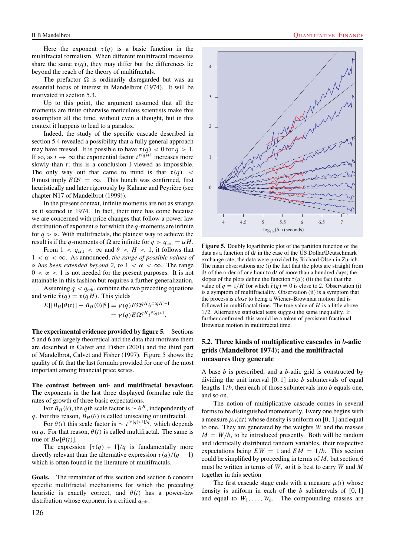Here the exponent  $\tau(q)$  is a basic function in the multifractal formalism. When different multifractal measures share the same  $\tau(q)$ , they may differ but the differences lie beyond the reach of the theory of multifractals.

The prefactor  $\Omega$  is ordinarily disregarded but was an essential focus of interest in Mandelbrot (1974). It will be motivated in section 5.3.

Up to this point, the argument assumed that all the moments are finite otherwise meticulous scientists make this assumption all the time, without even a thought, but in this context it happens to lead to a paradox.

Indeed, the study of the specific cascade described in section 5.4 revealed a possibility that a fully general approach may have missed. It is possible to have  $\tau(q) < 0$  for  $q > 1$ . If so, as  $t \to \infty$  the exponential factor  $t^{\tau(q)+1}$  increases more slowly than t; this is a conclusion I viewed as impossible. The only way out that came to mind is that  $\tau(q)$  < 0 must imply  $E\Omega^{q} = \infty$ . This hunch was confirmed, first heuristically and later rigorously by Kahane and Peyrière (see chapter N17 of Mandelbrot (1999)).

In the present context, infinite moments are not as strange as it seemed in 1974. In fact, their time has come because we are concerned with price changes that follow a power law distribution of exponent  $\alpha$  for which the q-moments are infinite for  $q > \alpha$ . With multifractals, the plainest way to achieve the result is if the q-moments of  $\Omega$  are infinite for  $q > q_{\text{crit}} = \alpha H$ .

From  $1 < q_{\text{crit}} < \infty$  and  $\theta < H < 1$ , it follows that  $1 < \alpha < \infty$ . As announced, *the range of possible values of*  $\alpha$  *has been extended beyond 2, to* 1 <  $\alpha$  <  $\infty$ . The range  $0 < \alpha < 1$  is not needed for the present purposes. It is not attainable in this fashion but requires a further generalization.

Assuming  $q < q_{\rm crit}$ , combine the two preceding equations and write  $\tilde{\tau}(q) = \tau(qH)$ . This yields

$$
E[|B_H[\theta(t)] - B_H(0)|^q] = \gamma(q) E \Omega^{qH} \theta^{\tau(qH)+1}
$$
  
=  $\gamma(q) E \Omega^{qH} t^{\tilde{\tau}(q)+1}.$ 

**The experimental evidence provided by figure 5.** Sections 5 and 6 are largely theoretical and the data that motivate them are described in Calvet and Fisher (2001) and the third part of Mandelbrot, Calvet and Fisher (1997). Figure 5 shows the quality of fit that the last formula provided for one of the most important among financial price series.

**The contrast between uni- and multifractal bevaviour.** The exponents in the last three displayed formulae rule the rates of growth of three basic expectations.

For  $B_H(\theta)$ , the qth scale factor is  $\sim \theta^H$ , independently of q. For this reason,  $B_H(\theta)$  is called uniscaling or unifractal.

For  $\theta(t)$  this scale factor is  $\sim t^{[\tau(q)+1]/q}$ , which depends on q. For that reason,  $\theta(t)$  is called multifractal. The same is true of  $B_H[\theta(t)]$ .

The expression  $[\tau(q) + 1]/q$  is fundamentally more directly relevant than the alternative expression  $\tau(q)/(q-1)$ which is often found in the literature of multifractals.

**Goals.** The remainder of this section and section 6 concern specific multifractal mechanisms for which the preceding heuristic is exactly correct, and  $\theta(t)$  has a power-law distribution whose exponent is a critical  $q<sub>crit</sub>$ .





**Figure 5.** Doubly logarithmic plot of the partition function of the data as a function of dt in the case of the US Dollar/Deutschmark exchange rate; the data were provided by Richard Olsen in Zurich. The main observations are (i) the fact that the plots are straight from  $dt$  of the order of one hour to  $dt$  of more than a hundred days; the slopes of the plots define the function  $\tilde{\tau}(q)$ ; (ii) the fact that the value of  $q = 1/H$  for which  $\tilde{\tau}(q) = 0$  is close to 2. Observation (i) is a symptom of multifractality. Observation (ii) is a symptom that the process is *close* to being a Wiener–Brownian motion that is followed in multifractal time. The true value of  $H$  is a little above 1/2. Alternative statistical tests suggest the same inequality. If further confirmed, this would be a token of persistent fractional Brownian motion in multifractal time.

#### **5.2. Three kinds of multiplicative cascades in** *b***-adic grids (Mandelbrot 1974); and the multifractal measures they generate**

A base  $b$  is prescribed, and a  $b$ -adic grid is constructed by dividing the unit interval  $[0, 1]$  into b subintervals of equal lengths  $1/b$ , then each of those subintervals into b equals one, and so on.

The notion of multiplicative cascade comes in several forms to be distinguished momentarily. Every one begins with a measure  $\mu_0(dt)$  whose density is uniform on [0, 1] and equal to one. They are generated by the weights W and the masses  $M = W/b$ , to be introduced presently. Both will be random and identically distributed random variables, their respective expectations being  $EW = 1$  and  $EM = 1/b$ . This section could be simplified by proceeding in terms of  $M$ , but section 6 must be written in terms of  $W$ , so it is best to carry  $W$  and  $M$ together in this section

The first cascade stage ends with a measure  $\mu(t)$  whose density is uniform in each of the  $b$  subintervals of  $[0, 1]$ and equal to  $W_1, \ldots, W_b$ . The compounding masses are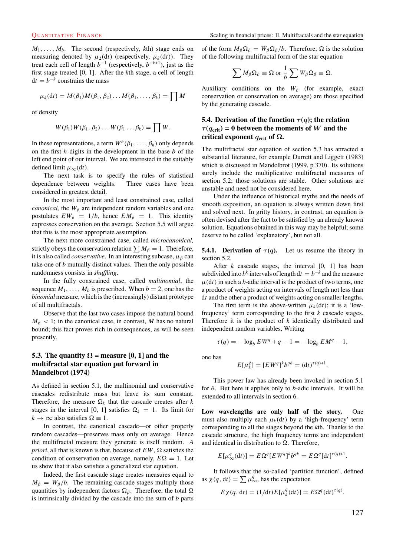$M_1, \ldots, M_b$ . The second (respectively, kth) stage ends on measuring denoted by  $\mu_2(\mathrm{d}t)$  (respectively,  $\mu_k(\mathrm{d}t)$ ). They treat each cell of length  $b^{-1}$  (respectively,  $b^{-k+1}$ ), just as the first stage treated [0, 1]. After the *k*th stage, a cell of length  $dt = b^{-k}$  constrains the mass

$$
\mu_k(\mathrm{d}t)=M(\beta_1)M(\beta_1,\beta_2)\ldots M(\beta_1,\ldots,\beta_k)=\prod M
$$

of density

$$
W(\beta_1)W(\beta_1, \beta_2)\ldots W(\beta_1 \ldots \beta_k) = \prod W.
$$

In these representations, a term  $W^h(\beta_1,\ldots,\beta_h)$  only depends on the first  $h$  digits in the development in the base  $b$  of the left end point of our interval. We are interested in the suitably defined limit  $\mu_{\infty}(\mathrm{d}t)$ .

The next task is to specify the rules of statistical dependence between weights. Three cases have been considered in greatest detail.

In the most important and least constrained case, called *canonical*, the  $W_\beta$  are independent random variables and one postulates  $EW_{\beta} = 1/b$ , hence  $EM_{\beta} = 1$ . This identity expresses conservation on the average. Section 5.5 will argue that this is the most appropriate assumption.

The next more constrained case, called *microcanonical,* strictly obeys the conservation relation  $\sum M_\beta = 1$ . Therefore, it is also called *conservative*. In an interesting subcase,  $\mu_{\beta}$  can take one of *b* mutually distinct values. Then the only possible randomness consists in *shuffling*.

In the fully constrained case, called *multinomial*, the sequence  $M_1, \ldots, M_b$  is prescribed. When  $b = 2$ , one has the *binomial* measure, which is the (increasingly) distant prototype of all multifractals.

Observe that the last two cases impose the natural bound  $M<sub>\beta</sub>$  < 1; in the canonical case, in contrast, M has no natural bound; this fact proves rich in consequences, as will be seen presently.

#### **5.3.** The quantity  $\Omega$  = measure [0, 1] and the **multifractal star equation put forward in Mandelbrot (1974)**

As defined in section 5.1, the multinomial and conservative cascades redistribute mass but leave its sum constant. Therefore, the measure  $\Omega_k$  that the cascade creates after k stages in the interval [0, 1] satisfies  $\Omega_k = 1$ . Its limit for  $k \to \infty$  also satisfies  $\Omega \equiv 1$ .

In contrast, the canonical cascade—or other properly random cascades—preserves mass only on average. Hence the multifractal measure they generate is itself random. *A priori*, all that is known is that, because of  $EW$ ,  $\Omega$  satisfies the condition of conservation on average, namely,  $E\Omega = 1$ . Let us show that it also satisfies a generalized star equation.

Indeed, the first cascade stage creates measures equal to  $M_{\beta} = W_{\beta}/b$ . The remaining cascade stages multiply those quantities by independent factors  $\Omega_{\beta}$ . Therefore, the total  $\Omega$ is intrinsically divided by the cascade into the sum of  $b$  parts

of the form  $M_\beta \Omega_\beta = W_\beta \Omega_\beta / b$ . Therefore,  $\Omega$  is the solution of the following multifractal form of the star equation

$$
\sum M_{\beta} \Omega_{\beta} \equiv \Omega \text{ or } \frac{1}{b} \sum W_{\beta} \Omega_{\beta} \equiv \Omega.
$$

Auxiliary conditions on the  $W_\beta$  (for example, exact conservation or conservation on average) are those specified by the generating cascade.

#### **5.4. Derivation of the function**  $\tau(q)$ ; the relation  $\tau(q_{\text{crit}}) = 0$  between the moments of *W* and the **critical exponent**  $q_{\text{crit}}$  of  $\Omega$ .

The multifractal star equation of section 5.3 has attracted a substantial literature, for example Durrett and Liggett (1983) which is discussed in Mandelbrot (1999, p 370). Its solutions surely include the multiplicative multifractal measures of section 5.2; those solutions are stable. Other solutions are unstable and need not be considered here.

Under the influence of historical myths and the needs of smooth exposition, an equation is always written down first and solved next. In gritty history, in contrast, an equation is often devised after the fact to be satisfied by an already known solution. Equations obtained in this way may be helpful; some deserve to be called 'explanatory', but not all.

**5.4.1.** Derivation of  $\tau(q)$ . Let us resume the theory in section 5.2.

After  $k$  cascade stages, the interval  $[0, 1]$  has been subdivided into  $b^k$  intervals of length d $t = b^{-k}$  and the measure  $\mu(dt)$  in such a *b*-adic interval is the product of two terms, one a product of weights acting on intervals of length not less than dt and the other a product of weights acting on smaller lengths.

The first term is the above-written  $\mu_k(\mathrm{d}t)$ ; it is a 'lowfrequency' term corresponding to the first  $k$  cascade stages. Therefore it is the product of *k* identically distributed and independent random variables, Writing

$$
\tau(q) = -\log_b EW^q + q - 1 = -\log_b EM^q - 1,
$$

one has

$$
E[\mu_k^q] = [EW^q]^k b^{qk} = (dt)^{\tau(q)+1}.
$$

This power law has already been invoked in section 5.1 for  $\theta$ . But here it applies only to *b*-adic intervals. It will be extended to all intervals in section 6.

**Low wavelengths are only half of the story.** One must also multiply each  $\mu_k(dt)$  by a 'high-frequency' term corresponding to all the stages beyond the *k*th. Thanks to the cascade structure, the high frequency terms are independent and identical in distribution to  $\Omega$ . Therefore,

$$
E[\mu^q_\infty(\mathrm{d}t)] = E\Omega^q[EW^q]^k b^{qk} = E\Omega^q[\mathrm{d}t]^{r(q)+1}.
$$

It follows that the so-called 'partition function', defined as  $\chi(q, dt) = \sum \mu_{\infty}^q$ , has the expectation

$$
E\chi(q, dt) = (1/dt)E[\mu_k^q(dt)] = E\Omega^q(dt)^{\tau(q)}.
$$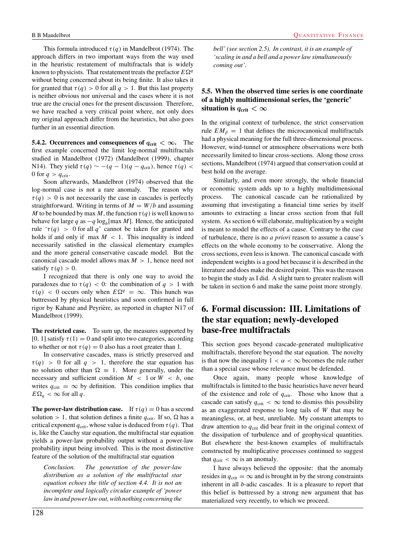This formula introduced  $\tau(q)$  in Mandelbrot (1974). The approach differs in two important ways from the way used in the heuristic restatement of multifractals that is widely known to physicists. That restatement treats the prefactor  $E\Omega^{q}$ without being concerned about its being finite. It also takes it for granted that  $\tau(q) > 0$  for all  $q > 1$ . But this last property is neither obvious nor universal and the cases where it is not true are the crucial ones for the present discussion. Therefore, we have reached a very critical point where, not only does my original approach differ from the heuristics, but also goes further in an essential direction.

**5.4.2. Occurrences and consequences of**  $q_{\text{crit}} < \infty$ **.** The first example concerned the limit log-normal multifractals studied in Mandelbrot (1972) (Mandelbrot (1999), chapter N14). They yield  $\tau(q) \sim -(q-1)(q-q_{\text{crit}})$ , hence  $\tau(q)$  < 0 for  $q > q_{\text{crit}}$ .

Soon afterwards, Mandelbrot (1974) observed that the log-normal case is not a rare anomaly. The reason why  $\tau(q) > 0$  is not necessarily the case in cascades is perfectly straightforward. Writing in terms of  $M = W/b$  and assuming M to be bounded by max M, the function  $\tau(q)$  is well known to behave for large q as  $-q \log_b[\max M]$ . Hence, the anticipated rule ' $\tau(q) > 0$  for all q' cannot be taken for granted and holds if and only if max  $M < 1$ . This inequality is indeed necessarily satisfied in the classical elementary examples and the more general conservative cascade model. But the canonical cascade model allows max  $M > 1$ , hence need not satisfy  $\tau(q) > 0$ .

I recognized that there is only one way to avoid the paradoxes due to  $\tau(q) < 0$ : the combination of  $q > 1$  with  $\tau(q)$  < 0 occurs only when  $E\Omega^q = \infty$ . This hunch was buttressed by physical heuristics and soon confirmed in full rigor by Kahane and Peyrière, as reported in chapter N17 of Mandelbrot (1999).

**The restricted case.** To sum up, the measures supported by [0, 1] satisfy  $\tau(1) = 0$  and split into two categories, according to whether or not  $\tau(q) = 0$  also has a root greater than 1.

In conservative cascades, mass is strictly preserved and  $\tau(q) > 0$  for all  $q > 1$ , therefore the star equation has no solution other than  $\Omega \equiv 1$ . More generally, under the necessary and sufficient condition  $M < 1$  or  $W < b$ , one writes  $q_{\text{crit}} = \infty$  by definition. This condition implies that  $E\Omega_q < \infty$  for all q.

**The power-law distribution case.** If  $\tau(q) = 0$  has a second solution > 1, that solution defines a finite  $q_{\text{crit}}$ . If so,  $\Omega$  has a critical exponent  $q_{\text{crit}}$ , whose value is deduced from  $\tau(q)$ . That is, like the Cauchy star equation, the multifractal star equation yields a power-law probability output without a power-law probability input being involved. This is the most distinctive feature of the solution of the multifractal star equation

*Conclusion. The generation of the power-law distribution as a solution of the multifractal star equation echoes the title of section 4.4. It is not an incomplete and logically circular example of 'power law in and power law out, with nothing concerning the*

*bell' (see section 2.5). In contrast, it is an example of 'scaling in and a bell and a power law simultaneously coming out'.*

#### **5.5. When the observed time series is one coordinate of a highly multidimensional series, the 'generic' situation is**  $q_{\text{crit}} < \infty$

In the original context of turbulence, the strict conservation rule  $EM<sub>β</sub> = 1$  that defines the microcanonical multifractals had a physical meaning for the full three-dimensional process. However, wind-tunnel or atmosphere observations were both necessarily limited to linear cross-sections. Along those cross sections, Mandelbrot (1974) argued that conservation could at best hold on the average.

Similarly, and even more strongly, the whole financial or economic system adds up to a highly multidimensional process. The canonical cascade can be rationalized by assuming that investigating a financial time series by itself amounts to extracting a linear cross section from that full system. As section 6 will elaborate, multiplication by a weight is meant to model the effects of a cause. Contrary to the case of turbulence, there is no *a priori* reason to assume a cause's effects on the whole economy to be conservative. Along the cross sections, even less is known. The canonical cascade with independent weights is a good bet because it is described in the literature and does make the desired point. This was the reason to begin the study as I did. A slight turn to greater realism will be taken in section 6 and make the same point more strongly.

## **6. Formal discussion: III. Limitations of the star equation; newly-developed base-free multifractals**

This section goes beyond cascade-generated multiplicative multifractals, therefore beyond the star equation. The novelty is that now the inequality  $1 < \alpha < \infty$  becomes the rule rather than a special case whose relevance must be defended.

Once again, many people whose knowledge of multifractals is limited to the basic heuristics have never heard of the existence and role of  $q_{\text{crit}}$ . Those who know that a cascade can satisfy  $q_{\text{crit}} < \infty$  tend to dismiss this possibility as an exaggerated response to long tails of W that may be meaningless, or, at best, unreliable. My constant attempts to draw attention to  $q_{\text{crit}}$  did bear fruit in the original context of the dissipation of turbulence and of geophysical quantities. But elsewhere the best-known examples of multifractals constructed by multiplicative processes continued to suggest that  $q_{\text{crit}} < \infty$  is an anomaly.

I have always believed the opposite: that the anomaly resides in  $q_{\text{crit}} = \infty$  and is brought in by the strong constraints inherent in all *b*-adic cascades. It is a pleasure to report that this belief is buttressed by a strong new argument that has materialized very recently, to which we proceed.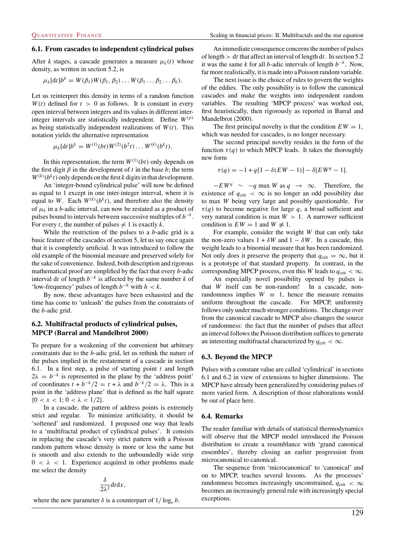#### **6.1. From cascades to independent cylindrical pulses**

After *k* stages, a cascade generates a measure  $\mu_k(t)$  whose density, as written in section 5.2, is

$$
\mu_k[\mathrm{d}t]b^k=W(\beta_1)W(\beta_1,\beta_2)\ldots W(\beta_1\ldots\beta_2\ldots\beta_k).
$$

Let us reinterpret this density in terms of a random function  $W(t)$  defined for  $t > 0$  as follows. It is constant in every open interval between integers and its values in different interinteger intervals are statistically independent. Define  $W^{(p)}$ as being statistically independent realizations of  $W(t)$ . This notation yields the alternative representation

$$
\mu_k[\mathrm{d}t]b^k = W^{(1)}(bt)W^{(2)}(b^2t)\ldots W^{(k)}(b^kt).
$$

In this representation, the term  $W^{(1)}(bt)$  only depends on the first digit  $\beta$  in the development of t in the base b; the term  $W^{(k)}(b^kt)$  only depends on the first k digits in that development.

An 'integer-bound cylindrical pulse' will now be defined as equal to 1 except in one inter-integer interval, where it is equal to W. Each  $W^{(k)}(b^k t)$ , and therefore also the density of  $\mu_k$  in a *b*-adic interval, can now be restated as a product of pulses bound to intervals between successive multiples of  $b^{-k}$ . For every *t*, the number of pulses  $\neq 1$  is exactly *k*.

While the restriction of the pulses to a  $b$ -adic grid is a basic feature of the cascades of section 5, let us say once again that it is completely artificial. It was introduced to follow the old example of the binomial measure and preserved solely for the sake of convenience. Indeed, both description and rigorous mathematical proof are simplified by the fact that every b-adic interval dt of length  $b^{-k}$  is affected by the same number k of 'low-frequency' pulses of length  $b^{-h}$  with  $h < k$ .

By now, these advantages have been exhausted and the time has come to 'unleash' the pulses from the constraints of the b-adic grid.

#### **6.2. Multifractal products of cylindrical pulses, MPCP (Barral and Mandelbrot 2000)**

To prepare for a weakening of the convenient but arbitrary constraints due to the b-adic grid, let us rethink the nature of the pulses implied in the restatement of a cascade in section 6.1. In a first step, a pulse of starting point  $t$  and length  $2\lambda = b^{-k}$  is represented in the plane by the 'address point' of coordinates  $t + b^{-k}/2 = t + \lambda$  and  $b^{-k}/2 = \lambda$ . This is a point in the 'address plane' that is defined as the half square  ${0 < x < 1; 0 < \lambda < 1/2}.$ 

In a cascade, the pattern of address points is extremely strict and regular. To minimize artificiality, it should be 'softened' and randomized. I proposed one way that leads to a 'multifractal product of cylindrical pulses'. It consists in replacing the cascade's very strict pattern with a Poisson random pattern whose density is more or less the same but is smooth and also extends to the unboundedly wide strip  $0 < \lambda < 1$ . Experience acquired in other problems made me select the density

$$
\frac{\delta}{2\lambda^2} \mathrm{d} t \mathrm{d} x,
$$

where the new parameter  $\delta$  is a counterpart of  $1/\log_e b$ .

An immediate consequence concerns the number of pulses of length  $> dt$  that affect an interval of length dt. In section 5.2 it was the same k for all b-adic intervals of length  $b^{-k}$ . Now, far more realistically, it is made into a Poisson random variable.

The next issue is the choice of rules to govern the weights of the eddies. The only possibility is to follow the canonical cascades and make the weights into independent random variables. The resulting 'MPCP process' was worked out, first heuristically, then rigorously as reported in Barral and Mandelbrot (2000).

The first principal novelty is that the condition  $EW = 1$ , which was needed for cascades, is no longer necessary.

The second principal novelty resides in the form of the function  $\tau(q)$  to which MPCP leads. It takes the thoroughly new form

$$
\tau(q) = -1 + q[1 - \delta(EW - 1)] - \delta[EW^{q} - 1].
$$

 $-EW^q \sim -q \max W \text{ as } q \to \infty$ . Therefore, the existence of  $q_{\text{crit}} < \infty$  is no longer an odd possibility due to max W being very large and possibly questionable. For  $\tau(q)$  to become negative for large q, a broad sufficient and very natural condition is max  $W > 1$ . A narrower sufficient condition is  $EW = 1$  and  $W \neq 1$ .

For example, consider the weight W that can only take the non-zero values  $1 + \delta W$  and  $1 - \delta W$ . In a cascade, this weight leads to a binomial measure that has been randomized. Not only does it preserve the property that  $q_{\text{crit}} = \infty$ , but it is a prototype of that standard property. In contrast, in the corresponding MPCP process, even this W leads to  $q_{\text{crit}} < \infty$ .

An especially novel possibility opened by pulses is that W itself can be non-random! In a cascade, nonrandomness implies  $W \equiv 1$ , hence the measure remains uniform throughout the cascade. For MPCP, uniformity follows only under much stronger conditions. The change over from the canonical cascade to MPCP also changes the source of randomness: the fact that the number of pulses that affect an interval follows the Poisson distribution suffices to generate an interesting multifractal characterized by  $q_{\text{crit}} < \infty$ .

#### **6.3. Beyond the MPCP**

Pulses with a constant value are called 'cylindrical' in sections 6.1 and 6.2 in view of extensions to higher dimensions. The MPCP have already been generalized by considering pulses of more varied form. A description of those elaborations would be out of place here.

#### **6.4. Remarks**

The reader familiar with details of statistical thermodynamics will observe that the MPCP model introduced the Poisson distribution to create a resemblance with 'grand canonical ensembles', thereby closing an earlier progression from microcanonical to canonical.

The sequence from 'microcanonical' to 'canonical' and on to MPCP, teaches several lessons. As the processes' randomness becomes increasingly unconstrained,  $q_{\text{crit}} < \infty$ becomes an increasingly general rule with increasingly special exceptions.